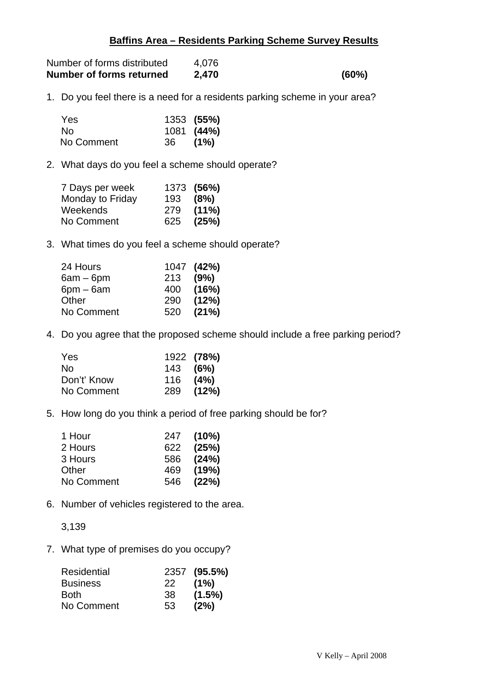## **Baffins Area – Residents Parking Scheme Survey Results**

| Number of forms distributed | 4.076 |       |
|-----------------------------|-------|-------|
| Number of forms returned    | 2,470 | (60%) |

1. Do you feel there is a need for a residents parking scheme in your area?

| Yes.       |     | 1353 (55%) |
|------------|-----|------------|
| No.        |     | 1081 (44%) |
| No Comment | -36 | (1%)       |

2. What days do you feel a scheme should operate?

| 7 Days per week  |          | 1373 (56%) |
|------------------|----------|------------|
| Monday to Friday | 193 (8%) |            |
| Weekends         | 279      | $(11\%)$   |
| No Comment       | 625      | (25%)      |

3. What times do you feel a scheme should operate?

| 24 Hours    |          | 1047 (42%) |
|-------------|----------|------------|
| $6am - 6pm$ | 213 (9%) |            |
| $6pm - 6am$ | 400      | (16%)      |
| Other       | 290      | (12%)      |
| No Comment  | 520      | (21%)      |

4. Do you agree that the proposed scheme should include a free parking period?

| <b>Yes</b>  |            | 1922 (78%) |
|-------------|------------|------------|
| No.         | $143$ (6%) |            |
| Don't' Know | 116        | (4%)       |
| No Comment  | 289        | (12%)      |

5. How long do you think a period of free parking should be for?

| 1 Hour     | 247 (10%) |
|------------|-----------|
| 2 Hours    | 622 (25%) |
| 3 Hours    | 586 (24%) |
| Other      | 469 (19%) |
| No Comment | 546 (22%) |

6. Number of vehicles registered to the area.

3,139

7. What type of premises do you occupy?

| <b>Residential</b> |      | 2357 (95.5%) |
|--------------------|------|--------------|
| <b>Business</b>    | -22. | (1%)         |
| <b>Both</b>        | -38  | $(1.5\%)$    |
| No Comment         | 53   | (2%)         |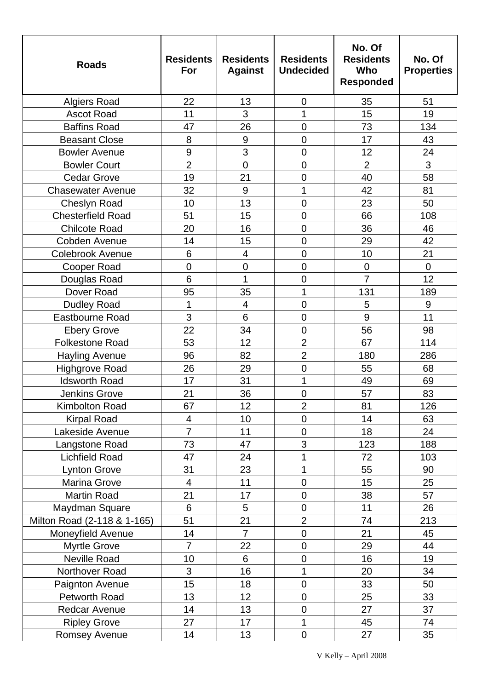| <b>Roads</b>                | <b>Residents</b><br>For | <b>Residents</b><br><b>Against</b> | <b>Residents</b><br><b>Undecided</b> | No. Of<br><b>Residents</b><br>Who<br><b>Responded</b> | No. Of<br><b>Properties</b> |
|-----------------------------|-------------------------|------------------------------------|--------------------------------------|-------------------------------------------------------|-----------------------------|
| <b>Algiers Road</b>         | 22                      | 13                                 | $\mathbf 0$                          | 35                                                    | 51                          |
| <b>Ascot Road</b>           | 11                      | 3                                  | $\overline{1}$                       | 15                                                    | 19                          |
| <b>Baffins Road</b>         | 47                      | 26                                 | $\overline{0}$                       | 73                                                    | 134                         |
| <b>Beasant Close</b>        | 8                       | 9                                  | $\overline{0}$                       | 17                                                    | 43                          |
| <b>Bowler Avenue</b>        | 9                       | 3                                  | $\mathbf 0$                          | 12                                                    | 24                          |
| <b>Bowler Court</b>         | $\overline{2}$          | $\mathbf 0$                        | $\overline{0}$                       | $\overline{2}$                                        | 3                           |
| <b>Cedar Grove</b>          | 19                      | 21                                 | $\overline{0}$                       | 40                                                    | 58                          |
| <b>Chasewater Avenue</b>    | 32                      | 9                                  | 1                                    | 42                                                    | 81                          |
| <b>Cheslyn Road</b>         | 10                      | 13                                 | $\overline{0}$                       | 23                                                    | 50                          |
| <b>Chesterfield Road</b>    | 51                      | 15                                 | $\overline{0}$                       | 66                                                    | 108                         |
| <b>Chilcote Road</b>        | 20                      | 16                                 | $\overline{0}$                       | 36                                                    | 46                          |
| Cobden Avenue               | 14                      | 15                                 | $\mathbf 0$                          | 29                                                    | 42                          |
| <b>Colebrook Avenue</b>     | 6                       | $\overline{4}$                     | $\overline{0}$                       | 10                                                    | 21                          |
| Cooper Road                 | $\overline{0}$          | $\overline{0}$                     | $\overline{0}$                       | $\overline{0}$                                        | $\overline{0}$              |
| Douglas Road                | 6                       | 1                                  | $\mathbf 0$                          | $\overline{7}$                                        | 12                          |
| Dover Road                  | 95                      | 35                                 | 1                                    | 131                                                   | 189                         |
| <b>Dudley Road</b>          | 1                       | $\overline{4}$                     | $\mathbf 0$                          | 5                                                     | 9                           |
| Eastbourne Road             | 3                       | 6                                  | $\mathbf 0$                          | 9                                                     | 11                          |
| <b>Ebery Grove</b>          | 22                      | 34                                 | $\overline{0}$                       | 56                                                    | 98                          |
| <b>Folkestone Road</b>      | 53                      | 12                                 | $\overline{2}$                       | 67                                                    | 114                         |
| <b>Hayling Avenue</b>       | 96                      | 82                                 | $\overline{2}$                       | 180                                                   | 286                         |
| <b>Highgrove Road</b>       | 26                      | 29                                 | $\mathbf 0$                          | 55                                                    | 68                          |
| <b>Idsworth Road</b>        | 17                      | 31                                 | 1                                    | 49                                                    | 69                          |
| <b>Jenkins Grove</b>        | 21                      | 36                                 | $\overline{0}$                       | 57                                                    | 83                          |
| <b>Kimbolton Road</b>       | 67                      | 12                                 | $\overline{2}$                       | 81                                                    | 126                         |
| <b>Kirpal Road</b>          | 4                       | 10                                 | $\overline{0}$                       | 14                                                    | 63                          |
| Lakeside Avenue             | $\overline{7}$          | 11                                 | $\mathbf 0$                          | 18                                                    | 24                          |
| Langstone Road              | 73                      | 47                                 | 3                                    | 123                                                   | 188                         |
| <b>Lichfield Road</b>       | 47                      | 24                                 | 1                                    | 72                                                    | 103                         |
| <b>Lynton Grove</b>         | 31                      | 23                                 | 1                                    | 55                                                    | 90                          |
| Marina Grove                | $\overline{4}$          | 11                                 | $\mathbf 0$                          | 15                                                    | 25                          |
| <b>Martin Road</b>          | 21                      | 17                                 | $\mathbf 0$                          | 38                                                    | 57                          |
| Maydman Square              | 6                       | 5                                  | $\mathbf 0$                          | 11                                                    | 26                          |
| Milton Road (2-118 & 1-165) | 51                      | 21                                 | $\overline{2}$                       | 74                                                    | 213                         |
| Moneyfield Avenue           | 14                      | $\overline{7}$                     | $\overline{0}$                       | 21                                                    | 45                          |
| <b>Myrtle Grove</b>         | $\overline{7}$          | 22                                 | $\mathbf 0$                          | 29                                                    | 44                          |
| Neville Road                | 10                      | 6                                  | $\mathbf 0$                          | 16                                                    | 19                          |
| Northover Road              | 3                       | 16                                 | $\overline{1}$                       | 20                                                    | 34                          |
| Paignton Avenue             | 15                      | 18                                 | $\mathbf 0$                          | 33                                                    | 50                          |
| Petworth Road               | 13                      | 12                                 | $\mathbf 0$                          | 25                                                    | 33                          |
| Redcar Avenue               | 14                      | 13                                 | $\mathbf 0$                          | 27                                                    | 37                          |
| <b>Ripley Grove</b>         | 27                      | 17                                 | 1                                    | 45                                                    | 74                          |
| Romsey Avenue               | 14                      | 13                                 | $\mathbf 0$                          | 27                                                    | 35                          |